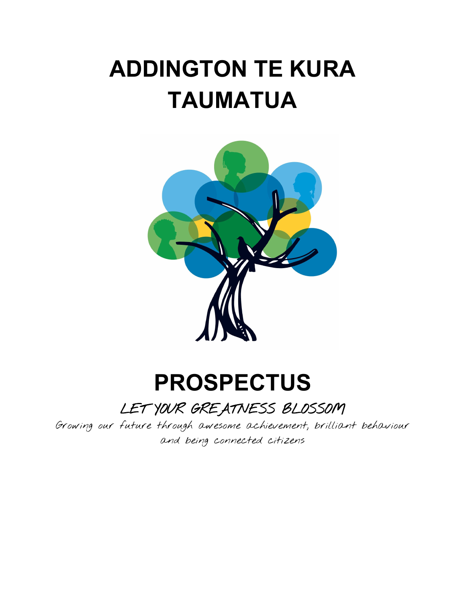# **ADDINGTON TE KURA TAUMATUA**



# **PROSPECTUS**

LET YOUR GREATNESS BLOSSOM

Growing our future through awesome achievement, brilliant behaviour and being connected citizens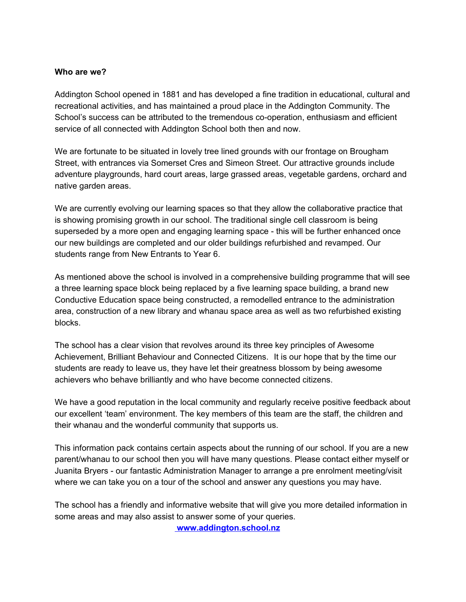#### **Who are we?**

Addington School opened in 1881 and has developed a fine tradition in educational, cultural and recreational activities, and has maintained a proud place in the Addington Community. The School's success can be attributed to the tremendous co-operation, enthusiasm and efficient service of all connected with Addington School both then and now.

We are fortunate to be situated in lovely tree lined grounds with our frontage on Brougham Street, with entrances via Somerset Cres and Simeon Street. Our attractive grounds include adventure playgrounds, hard court areas, large grassed areas, vegetable gardens, orchard and native garden areas.

We are currently evolving our learning spaces so that they allow the collaborative practice that is showing promising growth in our school. The traditional single cell classroom is being superseded by a more open and engaging learning space - this will be further enhanced once our new buildings are completed and our older buildings refurbished and revamped. Our students range from New Entrants to Year 6.

As mentioned above the school is involved in a comprehensive building programme that will see a three learning space block being replaced by a five learning space building, a brand new Conductive Education space being constructed, a remodelled entrance to the administration area, construction of a new library and whanau space area as well as two refurbished existing blocks.

The school has a clear vision that revolves around its three key principles of Awesome Achievement, Brilliant Behaviour and Connected Citizens. It is our hope that by the time our students are ready to leave us, they have let their greatness blossom by being awesome achievers who behave brilliantly and who have become connected citizens.

We have a good reputation in the local community and regularly receive positive feedback about our excellent 'team' environment. The key members of this team are the staff, the children and their whanau and the wonderful community that supports us.

This information pack contains certain aspects about the running of our school. If you are a new parent/whanau to our school then you will have many questions. Please contact either myself or Juanita Bryers - our fantastic Administration Manager to arrange a pre enrolment meeting/visit where we can take you on a tour of the school and answer any questions you may have.

The school has a friendly and informative website that will give you more detailed information in some areas and may also assist to answer some of your queries.

 **www.addington.school.nz**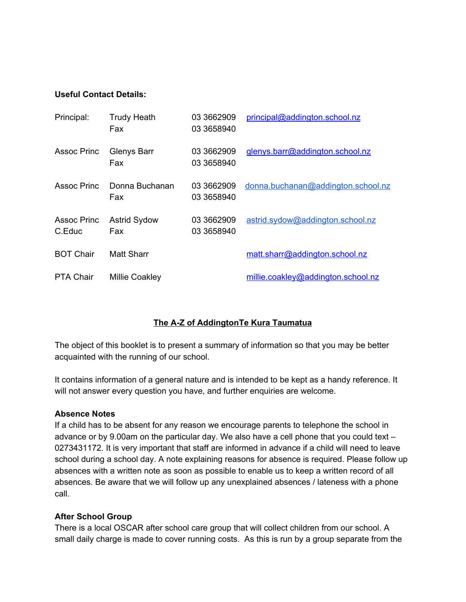#### **Useful Contact Details:**

| Principal:                   | <b>Trudy Heath</b><br>Fax  | 03 3662909<br>03 3658940 | principal@addington.school.nz      |
|------------------------------|----------------------------|--------------------------|------------------------------------|
| Assoc Princ                  | Glenys Barr<br>Fax         | 03 3662909<br>03 3658940 | glenys.barr@addington.school.nz    |
| Assoc Princ                  | Donna Buchanan<br>Fax      | 03 3662909<br>03 3658940 | donna.buchanan@addington.school.nz |
| <b>Assoc Princ</b><br>C.Educ | <b>Astrid Sydow</b><br>Fax | 03 3662909<br>03 3658940 | astrid.sydow@addington.school.nz   |
| <b>BOT Chair</b>             | Matt Sharr                 |                          | matt.sharr@addington.school.nz     |
| <b>PTA Chair</b>             | <b>Millie Coakley</b>      |                          | millie.coakley@addington.school.nz |

# **The A-Z of AddingtonTe Kura Taumatua**

The object of this booklet is to present a summary of information so that you may be better acquainted with the running of our school.

It contains information of a general nature and is intended to be kept as a handy reference. It will not answer every question you have, and further enquiries are welcome.

#### **Absence Notes**

If a child has to be absent for any reason we encourage parents to telephone the school in advance or by 9.00am on the particular day. We also have a cell phone that you could text – 0273431172. It is very important that staff are informed in advance if a child will need to leave school during a school day. A note explaining reasons for absence is required. Please follow up absences with a written note as soon as possible to enable us to keep a written record of all absences. Be aware that we will follow up any unexplained absences / lateness with a phone call.

#### **After School Group**

There is a local OSCAR after school care group that will collect children from our school. A small daily charge is made to cover running costs. As this is run by a group separate from the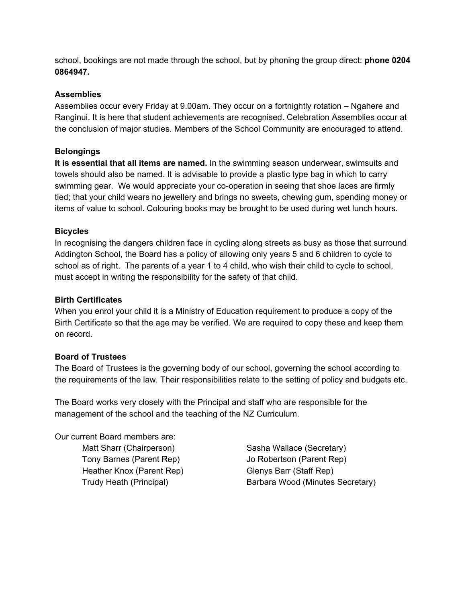school, bookings are not made through the school, but by phoning the group direct: **phone 0204 0864947.**

# **Assemblies**

Assemblies occur every Friday at 9.00am. They occur on a fortnightly rotation – Ngahere and Ranginui. It is here that student achievements are recognised. Celebration Assemblies occur at the conclusion of major studies. Members of the School Community are encouraged to attend.

#### **Belongings**

It is essential that all items are named. In the swimming season underwear, swimsuits and towels should also be named. It is advisable to provide a plastic type bag in which to carry swimming gear. We would appreciate your co-operation in seeing that shoe laces are firmly tied; that your child wears no jewellery and brings no sweets, chewing gum, spending money or items of value to school. Colouring books may be brought to be used during wet lunch hours.

# **Bicycles**

In recognising the dangers children face in cycling along streets as busy as those that surround Addington School, the Board has a policy of allowing only years 5 and 6 children to cycle to school as of right. The parents of a year 1 to 4 child, who wish their child to cycle to school, must accept in writing the responsibility for the safety of that child.

# **Birth Certificates**

When you enrol your child it is a Ministry of Education requirement to produce a copy of the Birth Certificate so that the age may be verified. We are required to copy these and keep them on record.

# **Board of Trustees**

The Board of Trustees is the governing body of our school, governing the school according to the requirements of the law. Their responsibilities relate to the setting of policy and budgets etc.

The Board works very closely with the Principal and staff who are responsible for the management of the school and the teaching of the NZ Curriculum.

Our current Board members are:

Matt Sharr (Chairperson) Sasha Wallace (Secretary) Heather Knox (Parent Rep) Glenys Barr (Staff Rep)

Tony Barnes (Parent Rep) Jo Robertson (Parent Rep) Trudy Heath (Principal) Barbara Wood (Minutes Secretary)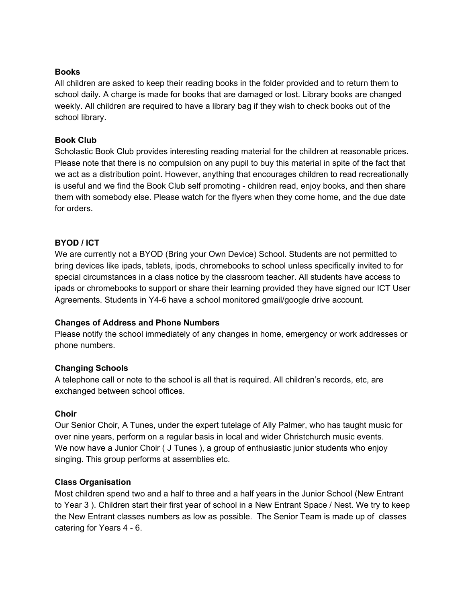# **Books**

All children are asked to keep their reading books in the folder provided and to return them to school daily. A charge is made for books that are damaged or lost. Library books are changed weekly. All children are required to have a library bag if they wish to check books out of the school library.

# **Book Club**

Scholastic Book Club provides interesting reading material for the children at reasonable prices. Please note that there is no compulsion on any pupil to buy this material in spite of the fact that we act as a distribution point. However, anything that encourages children to read recreationally is useful and we find the Book Club self promoting - children read, enjoy books, and then share them with somebody else. Please watch for the flyers when they come home, and the due date for orders.

# **BYOD / ICT**

We are currently not a BYOD (Bring your Own Device) School. Students are not permitted to bring devices like ipads, tablets, ipods, chromebooks to school unless specifically invited to for special circumstances in a class notice by the classroom teacher. All students have access to ipads or chromebooks to support or share their learning provided they have signed our ICT User Agreements. Students in Y4-6 have a school monitored gmail/google drive account.

# **Changes of Address and Phone Numbers**

Please notify the school immediately of any changes in home, emergency or work addresses or phone numbers.

# **Changing Schools**

A telephone call or note to the school is all that is required. All children's records, etc, are exchanged between school offices.

# **Choir**

Our Senior Choir, A Tunes, under the expert tutelage of Ally Palmer, who has taught music for over nine years, perform on a regular basis in local and wider Christchurch music events. We now have a Junior Choir (J Tunes), a group of enthusiastic junior students who enjoy singing. This group performs at assemblies etc.

# **Class Organisation**

Most children spend two and a half to three and a half years in the Junior School (New Entrant to Year 3 ). Children start their first year of school in a New Entrant Space / Nest. We try to keep the New Entrant classes numbers as low as possible. The Senior Team is made up of classes catering for Years 4 - 6.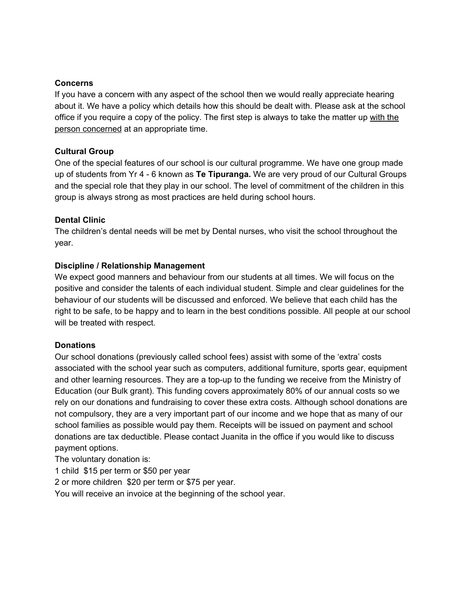#### **Concerns**

If you have a concern with any aspect of the school then we would really appreciate hearing about it. We have a policy which details how this should be dealt with. Please ask at the school office if you require a copy of the policy. The first step is always to take the matter up with the person concerned at an appropriate time.

# **Cultural Group**

One of the special features of our school is our cultural programme. We have one group made up of students from Yr 4 - 6 known as **Te Tipuranga.** We are very proud of our Cultural Groups and the special role that they play in our school. The level of commitment of the children in this group is always strong as most practices are held during school hours.

# **Dental Clinic**

The children's dental needs will be met by Dental nurses, who visit the school throughout the year.

# **Discipline / Relationship Management**

We expect good manners and behaviour from our students at all times. We will focus on the positive and consider the talents of each individual student. Simple and clear guidelines for the behaviour of our students will be discussed and enforced. We believe that each child has the right to be safe, to be happy and to learn in the best conditions possible. All people at our school will be treated with respect.

#### **Donations**

Our school donations (previously called school fees) assist with some of the 'extra' costs associated with the school year such as computers, additional furniture, sports gear, equipment and other learning resources. They are a top-up to the funding we receive from the Ministry of Education (our Bulk grant). This funding covers approximately 80% of our annual costs so we rely on our donations and fundraising to cover these extra costs. Although school donations are not compulsory, they are a very important part of our income and we hope that as many of our school families as possible would pay them. Receipts will be issued on payment and school donations are tax deductible. Please contact Juanita in the office if you would like to discuss payment options.

The voluntary donation is:

1 child \$15 per term or \$50 per year

2 or more children \$20 per term or \$75 per year.

You will receive an invoice at the beginning of the school year.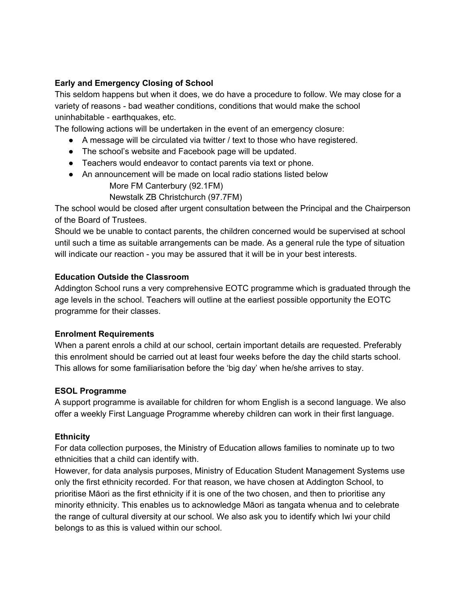# **Early and Emergency Closing of School**

This seldom happens but when it does, we do have a procedure to follow. We may close for a variety of reasons - bad weather conditions, conditions that would make the school uninhabitable - earthquakes, etc.

The following actions will be undertaken in the event of an emergency closure:

- $\bullet$  A message will be circulated via twitter / text to those who have registered.
- The school's website and Facebook page will be updated.
- Teachers would endeavor to contact parents via text or phone.
- An announcement will be made on local radio stations listed below More FM Canterbury (92.1FM)

Newstalk ZB Christchurch (97.7FM)

The school would be closed after urgent consultation between the Principal and the Chairperson of the Board of Trustees.

Should we be unable to contact parents, the children concerned would be supervised at school until such a time as suitable arrangements can be made. As a general rule the type of situation will indicate our reaction - you may be assured that it will be in your best interests.

# **Education Outside the Classroom**

Addington School runs a very comprehensive EOTC programme which is graduated through the age levels in the school. Teachers will outline at the earliest possible opportunity the EOTC programme for their classes.

# **Enrolment Requirements**

When a parent enrols a child at our school, certain important details are requested. Preferably this enrolment should be carried out at least four weeks before the day the child starts school. This allows for some familiarisation before the 'big day' when he/she arrives to stay.

# **ESOL Programme**

A support programme is available for children for whom English is a second language. We also offer a weekly First Language Programme whereby children can work in their first language.

# **Ethnicity**

For data collection purposes, the Ministry of Education allows families to nominate up to two ethnicities that a child can identify with.

However, for data analysis purposes, Ministry of Education Student Management Systems use only the first ethnicity recorded. For that reason, we have chosen at Addington School, to prioritise Māori as the first ethnicity if it is one of the two chosen, and then to prioritise any minority ethnicity. This enables us to acknowledge Māori as tangata whenua and to celebrate the range of cultural diversity at our school. We also ask you to identify which Iwi your child belongs to as this is valued within our school.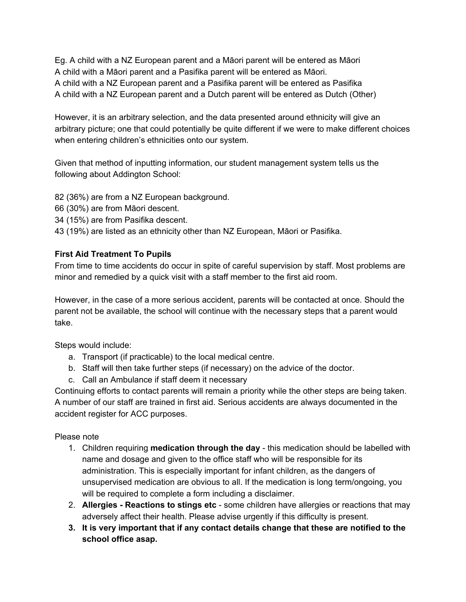Eg. A child with a NZ European parent and a Māori parent will be entered as Māori A child with a Māori parent and a Pasifika parent will be entered as Māori. A child with a NZ European parent and a Pasifika parent will be entered as Pasifika A child with a NZ European parent and a Dutch parent will be entered as Dutch (Other)

However, it is an arbitrary selection, and the data presented around ethnicity will give an arbitrary picture; one that could potentially be quite different if we were to make different choices when entering children's ethnicities onto our system.

Given that method of inputting information, our student management system tells us the following about Addington School:

82 (36%) are from a NZ European background.

66 (30%) are from Māori descent.

34 (15%) are from Pasifika descent.

43 (19%) are listed as an ethnicity other than NZ European, Māori or Pasifika.

# **First Aid Treatment To Pupils**

From time to time accidents do occur in spite of careful supervision by staff. Most problems are minor and remedied by a quick visit with a staff member to the first aid room.

However, in the case of a more serious accident, parents will be contacted at once. Should the parent not be available, the school will continue with the necessary steps that a parent would take.

Steps would include:

- a. Transport (if practicable) to the local medical centre.
- b. Staff will then take further steps (if necessary) on the advice of the doctor.
- c. Call an Ambulance if staff deem it necessary

Continuing efforts to contact parents will remain a priority while the other steps are being taken. A number of our staff are trained in first aid. Serious accidents are always documented in the accident register for ACC purposes.

# Please note

- 1. Children requiring **medication through the day** this medication should be labelled with name and dosage and given to the office staff who will be responsible for its administration. This is especially important for infant children, as the dangers of unsupervised medication are obvious to all. If the medication is long term/ongoing, you will be required to complete a form including a disclaimer.
- 2. **Allergies Reactions to stings etc** some children have allergies or reactions that may adversely affect their health. Please advise urgently if this difficulty is present.
- **3. It is very important that if any contact details change that these are notified to the school office asap.**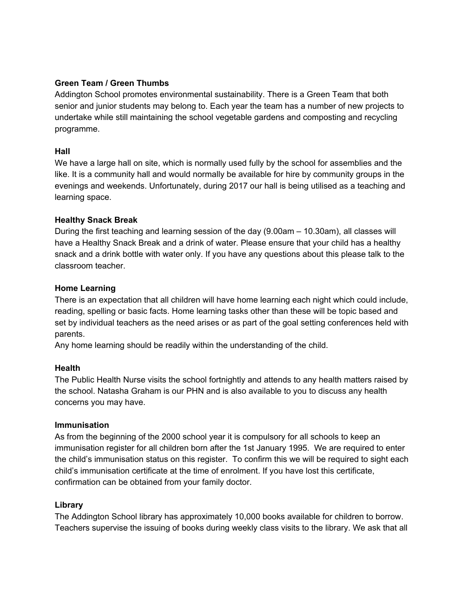# **Green Team / Green Thumbs**

Addington School promotes environmental sustainability. There is a Green Team that both senior and junior students may belong to. Each year the team has a number of new projects to undertake while still maintaining the school vegetable gardens and composting and recycling programme.

#### **Hall**

We have a large hall on site, which is normally used fully by the school for assemblies and the like. It is a community hall and would normally be available for hire by community groups in the evenings and weekends. Unfortunately, during 2017 our hall is being utilised as a teaching and learning space.

# **Healthy Snack Break**

During the first teaching and learning session of the day (9.00am – 10.30am), all classes will have a Healthy Snack Break and a drink of water. Please ensure that your child has a healthy snack and a drink bottle with water only. If you have any questions about this please talk to the classroom teacher.

# **Home Learning**

There is an expectation that all children will have home learning each night which could include, reading, spelling or basic facts. Home learning tasks other than these will be topic based and set by individual teachers as the need arises or as part of the goal setting conferences held with parents.

Any home learning should be readily within the understanding of the child.

# **Health**

The Public Health Nurse visits the school fortnightly and attends to any health matters raised by the school. Natasha Graham is our PHN and is also available to you to discuss any health concerns you may have.

#### **Immunisation**

As from the beginning of the 2000 school year it is compulsory for all schools to keep an immunisation register for all children born after the 1st January 1995. We are required to enter the child's immunisation status on this register. To confirm this we will be required to sight each child's immunisation certificate at the time of enrolment. If you have lost this certificate, confirmation can be obtained from your family doctor.

# **Library**

The Addington School library has approximately 10,000 books available for children to borrow. Teachers supervise the issuing of books during weekly class visits to the library. We ask that all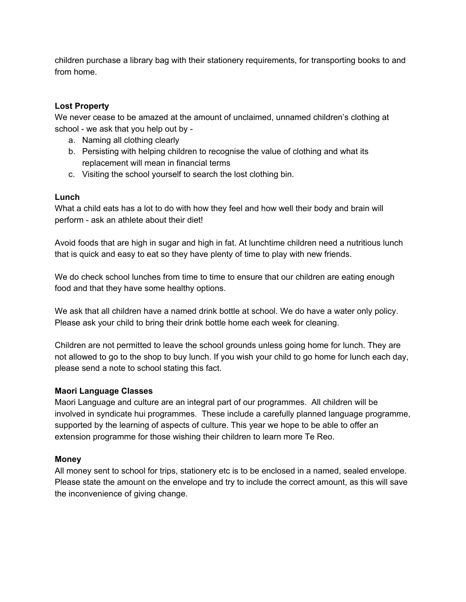children purchase a library bag with their stationery requirements, for transporting books to and from home.

# **Lost Property**

We never cease to be amazed at the amount of unclaimed, unnamed children's clothing at school - we ask that you help out by -

- a. Naming all clothing clearly
- b. Persisting with helping children to recognise the value of clothing and what its replacement will mean in financial terms
- c. Visiting the school yourself to search the lost clothing bin.

# **Lunch**

What a child eats has a lot to do with how they feel and how well their body and brain will perform - ask an athlete about their diet!

Avoid foods that are high in sugar and high in fat. At lunchtime children need a nutritious lunch that is quick and easy to eat so they have plenty of time to play with new friends.

We do check school lunches from time to time to ensure that our children are eating enough food and that they have some healthy options.

We ask that all children have a named drink bottle at school. We do have a water only policy. Please ask your child to bring their drink bottle home each week for cleaning.

Children are not permitted to leave the school grounds unless going home for lunch. They are not allowed to go to the shop to buy lunch. If you wish your child to go home for lunch each day, please send a note to school stating this fact.

# **Maori Language Classes**

Maori Language and culture are an integral part of our programmes. All children will be involved in syndicate hui programmes. These include a carefully planned language programme, supported by the learning of aspects of culture. This year we hope to be able to offer an extension programme for those wishing their children to learn more Te Reo.

# **Money**

All money sent to school for trips, stationery etc is to be enclosed in a named, sealed envelope. Please state the amount on the envelope and try to include the correct amount, as this will save the inconvenience of giving change.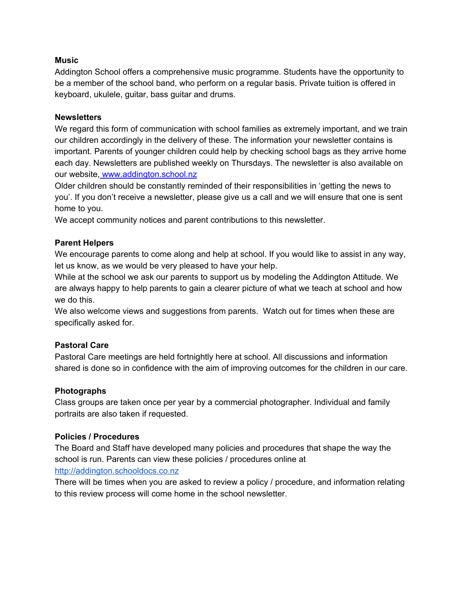# **Music**

Addington School offers a comprehensive music programme. Students have the opportunity to be a member of the school band, who perform on a regular basis. Private tuition is offered in keyboard, ukulele, guitar, bass guitar and drums.

#### **Newsletters**

We regard this form of communication with school families as extremely important, and we train our children accordingly in the delivery of these. The information your newsletter contains is important. Parents of younger children could help by checking school bags as they arrive home each day. Newsletters are published weekly on Thursdays. The newsletter is also available on our website, www.addington.school.nz

Older children should be constantly reminded of their responsibilities in 'getting the news to you'. If you don't receive a newsletter, please give us a call and we will ensure that one is sent home to you.

We accept community notices and parent contributions to this newsletter.

# **Parent Helpers**

We encourage parents to come along and help at school. If you would like to assist in any way, let us know, as we would be very pleased to have your help.

While at the school we ask our parents to support us by modeling the Addington Attitude. We are always happy to help parents to gain a clearer picture of what we teach at school and how we do this.

We also welcome views and suggestions from parents. Watch out for times when these are specifically asked for.

#### **Pastoral Care**

Pastoral Care meetings are held fortnightly here at school. All discussions and information shared is done so in confidence with the aim of improving outcomes for the children in our care.

#### **Photographs**

Class groups are taken once per year by a commercial photographer. Individual and family portraits are also taken if requested.

#### **Policies / Procedures**

The Board and Staff have developed many policies and procedures that shape the way the school is run. Parents can view these policies / procedures online a[t](http://addington.schooldocs.co.nz/) [http://addington.schooldocs.co.nz](http://addington.schooldocs.co.nz/)

There will be times when you are asked to review a policy / procedure, and information relating to this review process will come home in the school newsletter.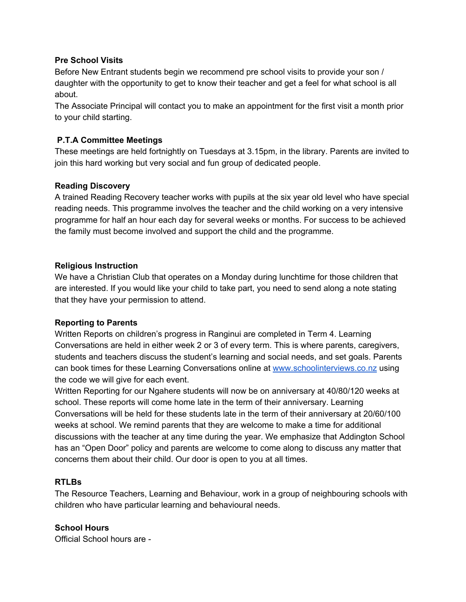#### **Pre School Visits**

Before New Entrant students begin we recommend pre school visits to provide your son / daughter with the opportunity to get to know their teacher and get a feel for what school is all about.

The Associate Principal will contact you to make an appointment for the first visit a month prior to your child starting.

# **P.T.A Committee Meetings**

These meetings are held fortnightly on Tuesdays at 3.15pm, in the library. Parents are invited to join this hard working but very social and fun group of dedicated people.

# **Reading Discovery**

A trained Reading Recovery teacher works with pupils at the six year old level who have special reading needs. This programme involves the teacher and the child working on a very intensive programme for half an hour each day for several weeks or months. For success to be achieved the family must become involved and support the child and the programme.

# **Religious Instruction**

We have a Christian Club that operates on a Monday during lunchtime for those children that are interested. If you would like your child to take part, you need to send along a note stating that they have your permission to attend.

#### **Reporting to Parents**

Written Reports on children's progress in Ranginui are completed in Term 4. Learning Conversations are held in either week 2 or 3 of every term. This is where parents, caregivers, students and teachers discuss the student's learning and social needs, and set goals. Parents can book times for these Learning Conversations online at [www.schoolinterviews.co.nz](http://www.schoolinterviews.co.nz/) using the code we will give for each event.

Written Reporting for our Ngahere students will now be on anniversary at 40/80/120 weeks at school. These reports will come home late in the term of their anniversary. Learning Conversations will be held for these students late in the term of their anniversary at 20/60/100 weeks at school. We remind parents that they are welcome to make a time for additional discussions with the teacher at any time during the year. We emphasize that Addington School has an "Open Door" policy and parents are welcome to come along to discuss any matter that concerns them about their child. Our door is open to you at all times.

#### **RTLBs**

The Resource Teachers, Learning and Behaviour, work in a group of neighbouring schools with children who have particular learning and behavioural needs.

#### **School Hours**

Official School hours are -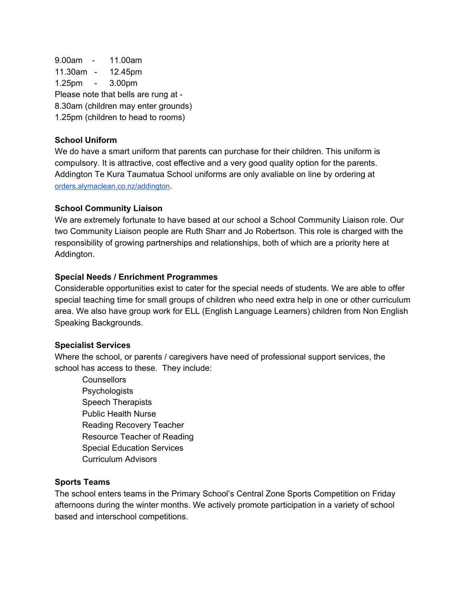9.00am - 11.00am 11.30am - 12.45pm 1.25pm - 3.00pm Please note that bells are rung at - 8.30am (children may enter grounds) 1.25pm (children to head to rooms)

# **School Uniform**

We do have a smart uniform that parents can purchase for their children. This uniform is compulsory. It is attractive, cost effective and a very good quality option for the parents. Addington Te Kura Taumatua School uniforms are only avaliable on line by ordering at [orders.alymaclean.co.nz/addington](http://orders.alymaclean.co.nz/addington).

#### **School Community Liaison**

We are extremely fortunate to have based at our school a School Community Liaison role. Our two Community Liaison people are Ruth Sharr and Jo Robertson. This role is charged with the responsibility of growing partnerships and relationships, both of which are a priority here at Addington.

#### **Special Needs / Enrichment Programmes**

Considerable opportunities exist to cater for the special needs of students. We are able to offer special teaching time for small groups of children who need extra help in one or other curriculum area. We also have group work for ELL (English Language Learners) children from Non English Speaking Backgrounds.

#### **Specialist Services**

Where the school, or parents / caregivers have need of professional support services, the school has access to these. They include:

**Counsellors Psychologists** Speech Therapists Public Health Nurse Reading Recovery Teacher Resource Teacher of Reading Special Education Services Curriculum Advisors

#### **Sports Teams**

The school enters teams in the Primary School's Central Zone Sports Competition on Friday afternoons during the winter months. We actively promote participation in a variety of school based and interschool competitions.